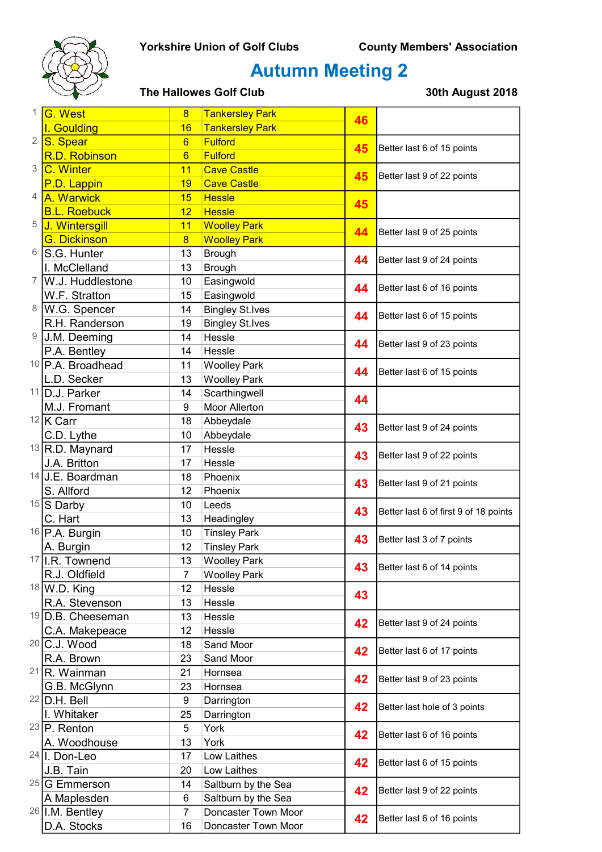

# Autumn Meeting 2

| 1              | G. West                              | $\overline{8}$  | <b>Tankersley Park</b>        |          |                                                          |
|----------------|--------------------------------------|-----------------|-------------------------------|----------|----------------------------------------------------------|
|                | I. Goulding                          | 16              | <b>Tankersley Park</b>        | 46       |                                                          |
| 2              | S. Spear                             | $6\overline{6}$ | <b>Fulford</b>                | 45       | Better last 6 of 15 points                               |
|                | R.D. Robinson                        | $6\overline{6}$ | <b>Fulford</b>                |          |                                                          |
| 3              | C. Winter                            | 11              | <b>Cave Castle</b>            | 45       | Better last 9 of 22 points                               |
|                | P.D. Lappin                          | 19              | <b>Cave Castle</b>            |          |                                                          |
| $\overline{4}$ | A. Warwick                           | 15              | <b>Hessle</b>                 | 45       |                                                          |
|                | <b>B.L. Roebuck</b>                  | 12              | <b>Hessle</b>                 |          |                                                          |
| 5              | J. Wintersgill                       | 11              | <b>Woolley Park</b>           | 44<br>44 | Better last 9 of 25 points                               |
|                | <b>G. Dickinson</b>                  | $\overline{8}$  | <b>Woolley Park</b>           |          |                                                          |
| 6              | S.G. Hunter                          | 13              | <b>Brough</b>                 |          | Better last 9 of 24 points                               |
|                | I. McClelland                        | 13              | <b>Brough</b>                 |          |                                                          |
| 7              | W.J. Huddlestone                     | 10              | Easingwold                    | 44       | Better last 6 of 16 points                               |
|                | W.F. Stratton                        | 15              | Easingwold                    |          |                                                          |
| 8              | W.G. Spencer                         | 14              | <b>Bingley St.Ives</b>        | 44       | Better last 6 of 15 points                               |
|                | R.H. Randerson                       | 19              | <b>Bingley St.Ives</b>        |          |                                                          |
| 9              | J.M. Deeming                         | 14              | Hessle                        | 44       | Better last 9 of 23 points                               |
|                | P.A. Bentley                         | 14              | Hessle                        |          |                                                          |
|                | <sup>10</sup> P.A. Broadhead         | 11              | <b>Woolley Park</b>           | 44       | Better last 6 of 15 points                               |
|                | L.D. Secker                          | 13              | <b>Woolley Park</b>           |          |                                                          |
|                | 11 D.J. Parker                       | 14              | Scarthingwell                 | 44       |                                                          |
|                | M.J. Fromant                         | 9               | <b>Moor Allerton</b>          |          |                                                          |
|                | $12$ K Carr                          | 18              | Abbeydale                     | 43       | Better last 9 of 24 points                               |
|                | C.D. Lythe                           | 10              | Abbeydale                     |          |                                                          |
|                | $13$ R.D. Maynard                    | 17              | Hessle                        | 43       | Better last 9 of 22 points                               |
|                | J.A. Britton                         | 17              | Hessle                        |          |                                                          |
|                | $14$ J.E. Boardman                   | 18              | Phoenix                       | 43       | Better last 9 of 21 points                               |
|                | S. Allford                           | 12              | Phoenix                       |          |                                                          |
|                | $15$ S Darby                         | 10              | Leeds                         | 43       | Better last 6 of first 9 of 18 points                    |
|                | C. Hart                              | 13              | Headingley                    |          |                                                          |
|                | 16 P.A. Burgin                       | 10              | <b>Tinsley Park</b>           | 43       | Better last 3 of 7 points                                |
|                | A. Burgin                            | 12              | <b>Tinsley Park</b>           |          |                                                          |
|                | $17$ I.R. Townend                    | 13              | <b>Woolley Park</b>           | 43       | Better last 6 of 14 points                               |
|                | R.J. Oldfield                        | 7               | <b>Woolley Park</b><br>Hessle |          |                                                          |
|                | $18$ W.D. King<br>R.A. Stevenson     | 12<br>13        | Hessle                        | 43       |                                                          |
|                | $19$ D.B. Cheeseman                  | 13              | Hessle                        |          |                                                          |
|                | C.A. Makepeace                       | 12              | Hessle                        | 42       | Better last 9 of 24 points<br>Better last 6 of 17 points |
|                | $20$ C.J. Wood                       | 18              | Sand Moor                     |          |                                                          |
|                | R.A. Brown                           | 23              | Sand Moor                     | 42       |                                                          |
|                | <sup>21</sup> R. Wainman             | 21              | Hornsea                       |          |                                                          |
|                | G.B. McGlynn                         | 23              | Hornsea                       | 42       | Better last 9 of 23 points                               |
|                | $22$ D.H. Bell                       | 9               | Darrington                    | 42       | Better last hole of 3 points                             |
|                | I. Whitaker                          | 25              | Darrington                    |          |                                                          |
|                | $23$ P. Renton                       | 5               | York                          | 42<br>42 | Better last 6 of 16 points<br>Better last 6 of 15 points |
|                | A. Woodhouse                         | 13              | York                          |          |                                                          |
|                | $24$  I. Don-Leo                     | 17              | Low Laithes                   |          |                                                          |
|                | J.B. Tain                            | 20              | Low Laithes                   |          |                                                          |
|                | <sup>25</sup> <sub>IG</sub> Emmerson | 14              | Saltburn by the Sea           |          |                                                          |
|                | A Maplesden                          | 6               | Saltburn by the Sea           | 42       | Better last 9 of 22 points                               |
|                | <sup>26</sup> I.M. Bentley           | $\overline{7}$  | Doncaster Town Moor           |          |                                                          |
|                | D.A. Stocks                          | 16              | Doncaster Town Moor           | 42       | Better last 6 of 16 points                               |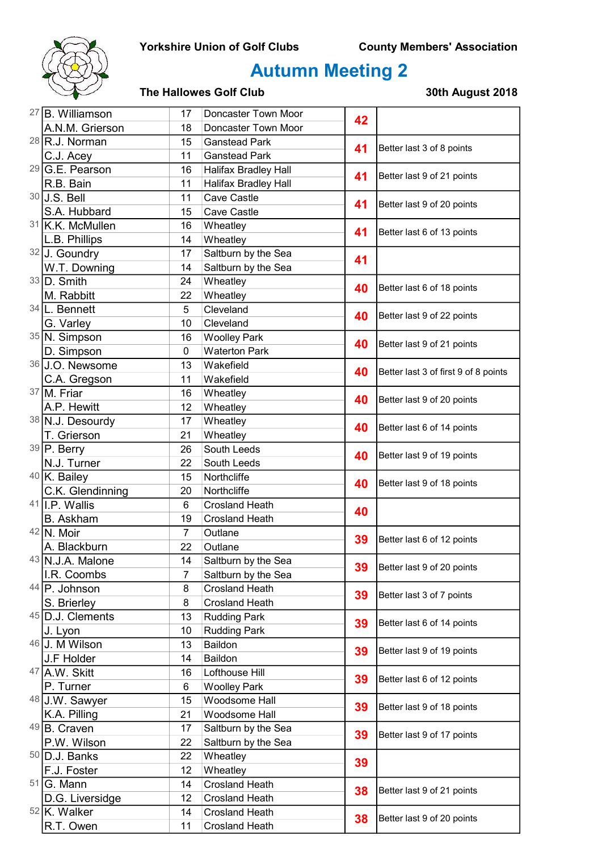

# Autumn Meeting 2

| <sup>27</sup> B. Williamson          | 17             | Doncaster Town Moor                  | 42 |                                      |
|--------------------------------------|----------------|--------------------------------------|----|--------------------------------------|
| A.N.M. Grierson                      | 18             | Doncaster Town Moor                  |    |                                      |
| $28$ R.J. Norman                     | 15             | <b>Ganstead Park</b>                 | 41 | Better last 3 of 8 points            |
| C.J. Acey                            | 11             | <b>Ganstead Park</b>                 |    |                                      |
| $29$ G.E. Pearson                    | 16             | Halifax Bradley Hall                 | 41 | Better last 9 of 21 points           |
| R.B. Bain                            | 11             | <b>Halifax Bradley Hall</b>          |    |                                      |
| 30 J.S. Bell                         | 11             | Cave Castle                          | 41 | Better last 9 of 20 points           |
| S.A. Hubbard                         | 15             | Cave Castle                          |    |                                      |
| 31 K.K. McMullen                     | 16             | Wheatley                             | 41 | Better last 6 of 13 points           |
| L.B. Phillips                        | 14             | Wheatley                             |    |                                      |
| 32 J. Goundry                        | 17             | Saltburn by the Sea                  | 41 |                                      |
| W.T. Downing                         | 14             | Saltburn by the Sea                  |    |                                      |
| $33$ D. Smith                        | 24             | Wheatley                             | 40 | Better last 6 of 18 points           |
| M. Rabbitt                           | 22             | Wheatley                             |    |                                      |
| 34 L. Bennett                        | 5              | Cleveland                            | 40 | Better last 9 of 22 points           |
| G. Varley                            | 10             | Cleveland                            |    |                                      |
| 35 N. Simpson                        | 16             | <b>Woolley Park</b>                  | 40 | Better last 9 of 21 points           |
| D. Simpson                           | 0              | <b>Waterton Park</b>                 |    |                                      |
| 36 J.O. Newsome                      | 13             | Wakefield                            | 40 | Better last 3 of first 9 of 8 points |
| C.A. Gregson                         | 11             | Wakefield                            |    |                                      |
| 37 M. Friar                          | 16             | Wheatley                             | 40 | Better last 9 of 20 points           |
| A.P. Hewitt                          | 12             | Wheatley                             |    |                                      |
| 38 N.J. Desourdy                     | 17             | Wheatley                             | 40 | Better last 6 of 14 points           |
| T. Grierson                          | 21             | Wheatley                             |    |                                      |
| 39 P. Berry                          | 26             | South Leeds                          | 40 | Better last 9 of 19 points           |
| N.J. Turner                          | 22             | South Leeds                          |    |                                      |
| 40 K. Bailey                         | 15             | Northcliffe                          | 40 | Better last 9 of 18 points           |
| C.K. Glendinning<br>$41$ I.P. Wallis | 20             | Northcliffe<br><b>Crosland Heath</b> |    |                                      |
| <b>B.</b> Askham                     | 6<br>19        | <b>Crosland Heath</b>                | 40 |                                      |
| $42$ N. Moir                         | $\overline{7}$ | Outlane                              |    |                                      |
| A. Blackburn                         | 22             | Outlane                              | 39 | Better last 6 of 12 points           |
| 43 N.J.A. Malone                     | 14             | Saltburn by the Sea                  |    |                                      |
| I.R. Coombs                          | 7              | Saltburn by the Sea                  | 39 | Better last 9 of 20 points           |
| $44$ P. Johnson                      | 8              | <b>Crosland Heath</b>                |    |                                      |
| S. Brierley                          | 8              | <b>Crosland Heath</b>                | 39 | Better last 3 of 7 points            |
| 45 D.J. Clements                     | 13             | <b>Rudding Park</b>                  |    | Better last 6 of 14 points           |
| J. Lyon                              | 10             | <b>Rudding Park</b>                  | 39 |                                      |
| 46 J. M Wilson                       | 13             | Baildon                              |    | Better last 9 of 19 points           |
| J.F Holder                           | 14             | Baildon                              | 39 |                                      |
| 47 A.W. Skitt                        | 16             | Lofthouse Hill                       |    | Better last 6 of 12 points           |
| P. Turner                            | 6              | <b>Woolley Park</b>                  | 39 |                                      |
| 48 J.W. Sawyer                       | 15             | Woodsome Hall                        | 39 | Better last 9 of 18 points           |
| K.A. Pilling                         | 21             | Woodsome Hall                        |    |                                      |
| $49$ B. Craven                       | 17             | Saltburn by the Sea                  | 39 |                                      |
| P.W. Wilson                          | 22             | Saltburn by the Sea                  |    | Better last 9 of 17 points           |
| $50$ D.J. Banks                      | 22             | Wheatley                             | 39 |                                      |
| F.J. Foster                          | 12             | Wheatley                             |    |                                      |
| $51$ G. Mann                         | 14             | <b>Crosland Heath</b>                | 38 | Better last 9 of 21 points           |
| D.G. Liversidge                      | 12             | <b>Crosland Heath</b>                |    |                                      |
| <sup>52</sup> <sub>K.</sub> Walker   | 14             | <b>Crosland Heath</b>                | 38 | Better last 9 of 20 points           |
| R.T. Owen                            | 11             | <b>Crosland Heath</b>                |    |                                      |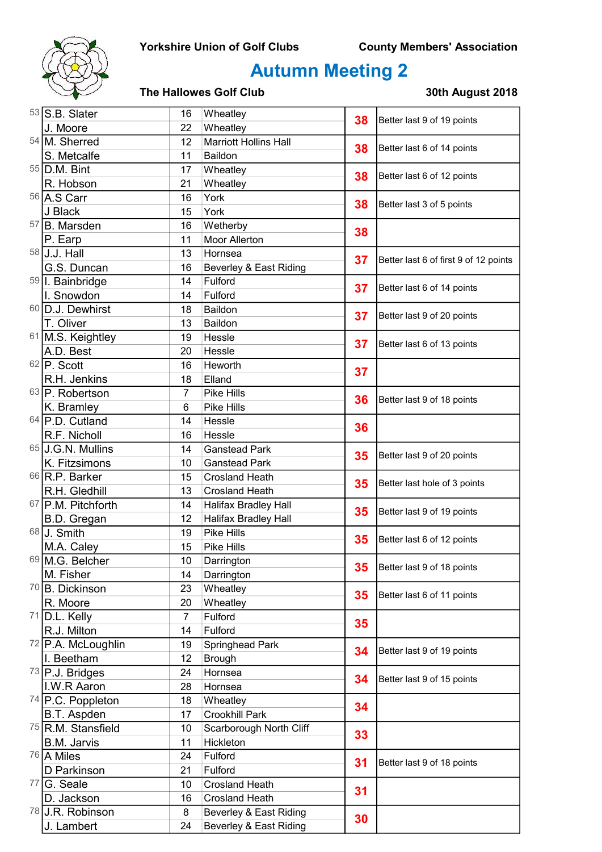

# Autumn Meeting 2

| $53$ S.B. Slater              | 16       | Wheatley                                         | 38       | Better last 9 of 19 points            |
|-------------------------------|----------|--------------------------------------------------|----------|---------------------------------------|
| J. Moore                      | 22       | Wheatley                                         |          |                                       |
| 54 M. Sherred                 | 12       | <b>Marriott Hollins Hall</b>                     | 38       | Better last 6 of 14 points            |
| S. Metcalfe                   | 11       | Baildon                                          |          |                                       |
| 55 D.M. Bint                  | 17       | Wheatley                                         |          | Better last 6 of 12 points            |
| R. Hobson                     | 21       | Wheatley                                         | 38       |                                       |
| 56 A.S Carr                   | 16       | York                                             | 38       | Better last 3 of 5 points             |
| J Black                       | 15       | York                                             |          |                                       |
| 57 B. Marsden                 | 16       | Wetherby                                         | 38       |                                       |
| P. Earp                       | 11       | Moor Allerton                                    |          |                                       |
| $58$ J.J. Hall                | 13       | Hornsea                                          | 37       | Better last 6 of first 9 of 12 points |
| G.S. Duncan                   | 16       | Beverley & East Riding                           |          |                                       |
| 59 I. Bainbridge              | 14       | Fulford                                          | 37       | Better last 6 of 14 points            |
| I. Snowdon                    | 14       | Fulford                                          |          |                                       |
| 60 D.J. Dewhirst              | 18       | Baildon                                          | 37       | Better last 9 of 20 points            |
| T. Oliver                     | 13       | Baildon                                          |          |                                       |
| 61 M.S. Keightley             | 19       | Hessle                                           | 37       | Better last 6 of 13 points            |
| A.D. Best                     | 20       | Hessle                                           |          |                                       |
| $62$ P. Scott                 | 16       | Heworth                                          | 37       |                                       |
| R.H. Jenkins                  | 18       | Elland                                           |          |                                       |
| 63 P. Robertson               | 7        | Pike Hills                                       | 36       | Better last 9 of 18 points            |
| K. Bramley                    | 6        | Pike Hills                                       |          |                                       |
| 64 P.D. Cutland               | 14       | Hessle                                           | 36       |                                       |
| R.F. Nicholl                  | 16       | Hessle                                           |          |                                       |
| 65 J.G.N. Mullins             | 14       | <b>Ganstead Park</b>                             | 35       | Better last 9 of 20 points            |
| K. Fitzsimons                 | 10       | <b>Ganstead Park</b>                             |          |                                       |
| 66 R.P. Barker                | 15       | <b>Crosland Heath</b>                            | 35       | Better last hole of 3 points          |
| R.H. Gledhill                 | 13       | <b>Crosland Heath</b>                            |          |                                       |
| 67 P.M. Pitchforth            | 14<br>12 | <b>Halifax Bradley Hall</b>                      | 35       | Better last 9 of 19 points            |
| B.D. Gregan<br>68 J. Smith    | 19       | <b>Halifax Bradley Hall</b><br><b>Pike Hills</b> |          |                                       |
| M.A. Caley                    | 15       | Pike Hills                                       | 35       | Better last 6 of 12 points            |
| 69 M.G. Belcher               | 10       | Darrington                                       |          |                                       |
| M. Fisher                     | 14       | Darrington                                       | 35       | Better last 9 of 18 points            |
| <sup>70</sup> B. Dickinson    | 23       | Wheatley                                         |          |                                       |
| R. Moore                      | 20       | Wheatley                                         | 35       | Better last 6 of 11 points            |
| $71$ D.L. Kelly               | 7        | Fulford                                          |          |                                       |
| R.J. Milton                   | 14       | Fulford                                          | 35       |                                       |
| 72 P.A. McLoughlin            | 19       | Springhead Park                                  |          |                                       |
| I. Beetham                    | 12       | Brough                                           | 34       | Better last 9 of 19 points            |
| $73$ P.J. Bridges             | 24       | Hornsea                                          |          |                                       |
| I.W.R Aaron                   | 28       | Hornsea                                          | 34       | Better last 9 of 15 points            |
| $74$ P.C. Poppleton           | 18       | Wheatley                                         |          |                                       |
| B.T. Aspden                   | 17       | <b>Crookhill Park</b>                            | 34       |                                       |
| <sup>75</sup> R.M. Stansfield | 10       | Scarborough North Cliff                          | 33<br>31 |                                       |
| <b>B.M. Jarvis</b>            | 11       | Hickleton                                        |          |                                       |
| 76 A Miles                    | 24       | Fulford                                          |          | Better last 9 of 18 points            |
| D Parkinson                   | 21       | Fulford                                          |          |                                       |
| $77$ G. Seale                 | 10       | <b>Crosland Heath</b>                            | 31       |                                       |
| D. Jackson                    | 16       | <b>Crosland Heath</b>                            |          |                                       |
| <sup>78</sup> U.R. Robinson   | 8        | Beverley & East Riding                           | 30       |                                       |
| J. Lambert                    | 24       | Beverley & East Riding                           |          |                                       |